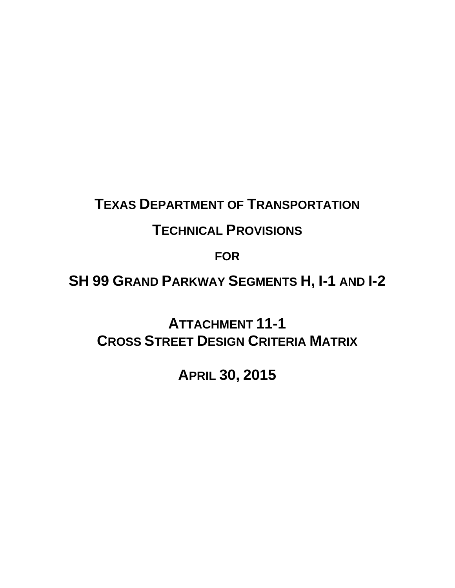## **TEXAS DEPARTMENT OF TRANSPORTATION**

## **TECHNICAL PROVISIONS**

**FOR**

**SH 99 GRAND PARKWAY SEGMENTS H, I-1 AND I-2** 

**ATTACHMENT 11-1 CROSS STREET DESIGN CRITERIA MATRIX**

**APRIL 30, 2015**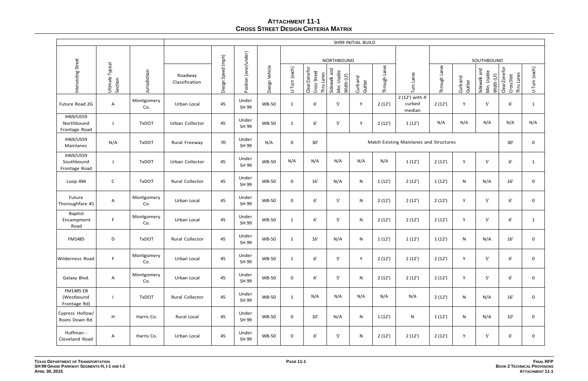## **ATTACHMENT 11-1 CROSS STREET DESIGN CRITERIA MATRIX**

|                                                 |                             |                   | <b>SH99 INITIAL BUILD</b> |                    |                       |                |                  |                                               |                                           |                   |               |                                     |               |                   |                                           |                                         |               |  |
|-------------------------------------------------|-----------------------------|-------------------|---------------------------|--------------------|-----------------------|----------------|------------------|-----------------------------------------------|-------------------------------------------|-------------------|---------------|-------------------------------------|---------------|-------------------|-------------------------------------------|-----------------------------------------|---------------|--|
|                                                 |                             |                   |                           |                    |                       |                |                  | <b>NORTHBOUND</b>                             |                                           |                   |               |                                     |               |                   |                                           | SOUTHBOUND                              |               |  |
| Intersecting Street                             | Ultimate Typical<br>Section | Jurisdiction      | Roadway<br>Classification | Design Speed (mph) | Position (over/under) | Design Vehicle | U-Turn (each)    | ClearZonefor<br>Street<br>Thru Lanes<br>Cross | Sidewalk and<br>Min. Usable<br>Width (LF) | Curband<br>Gutter | Through Lanes | Turn Lanes                          | Through Lanes | Curband<br>Gutter | Sidewalk and<br>Min. Usable<br>Width (LF) | ClearZonefor<br>Thru Lanes<br>CrossStet | U-Turn (each) |  |
| Future Road 2G                                  | A                           | Montgomery<br>Co. | Urban Local               | 45                 | Under<br>SH 99        | <b>WB-50</b>   | $\mathbf{1}$     | 6'                                            | $5'$                                      | Y                 | 2(12)         | 2 (12') with 4'<br>curbed<br>median | 2(12')        | Y                 | 5'                                        | 6'                                      | 1             |  |
| <b>IH69/US59</b><br>Northbound<br>Frontage Road | $\mathbf{J}$                | <b>TxDOT</b>      | Urban Collector           | 45                 | Under<br>SH 99        | <b>WB-50</b>   | $\mathbf{1}$     | 6'                                            | $5'$                                      | Y                 | 2(12)         | 1(12)                               | N/A           | N/A               | N/A                                       | N/A                                     | N/A           |  |
| IH69/US59<br>Mainlanes                          | N/A                         | <b>TxDOT</b>      | Rural Freeway             | 70                 | Under<br>SH 99        | N/A            | $\mathbf 0$      | 30'                                           | Match Existing Mainlanes and Structures   |                   |               |                                     |               |                   |                                           |                                         | 0             |  |
| IH69/US59<br>Southbound<br>Frontage Road        | J                           | <b>TxDOT</b>      | Urban Collector           | 45                 | Under<br>SH 99        | <b>WB-50</b>   | N/A              | N/A                                           | N/A                                       | N/A               | N/A           | 1(12)                               | 2(12)         | Y                 | 5'                                        | 6'                                      | 1             |  |
| Loop 494                                        | $\mathsf{C}$                | <b>TxDOT</b>      | Rural Collector           | 45                 | Under<br>SH 99        | <b>WB-50</b>   | $\boldsymbol{0}$ | 16'                                           | N/A                                       | N                 | 1(12)         | 2(12')                              | 1(12)         | N                 | N/A                                       | 16'                                     | 0             |  |
| Future<br>Thoroughfare #1                       | Α                           | Montgomery<br>Co. | Urban Local               | 45                 | Under<br>SH 99        | <b>WB-50</b>   | $\boldsymbol{0}$ | 6'                                            | $5'$                                      | N                 | 2(12)         | 2(12')                              | 2(12')        | Y                 | 5'                                        | 6'                                      | 0             |  |
| <b>Baptist</b><br>Encampment<br>Road            | F                           | Montgomery<br>Co. | Urban Local               | 45                 | Under<br>SH 99        | <b>WB-50</b>   | $\mathbf{1}$     | 6'                                            | $5'$                                      | N                 | 2(12')        | 2(12')                              | 2(12')        | Y                 | 5'                                        | 6'                                      | $\mathbf{1}$  |  |
| <b>FM1485</b>                                   | D                           | <b>TxDOT</b>      | Rural Collector           | 45                 | Under<br>SH 99        | <b>WB-50</b>   | $\mathbf{1}$     | 16'                                           | N/A                                       | ${\sf N}$         | 1(12)         | 1(12)                               | 1(12)         | N                 | N/A                                       | 16'                                     | 0             |  |
| Wilderness Road                                 | F.                          | Montgomery<br>Co. | Urban Local               | 45                 | Under<br>SH 99        | <b>WB-50</b>   | $\mathbf{1}$     | 6'                                            | $5'$                                      | Y                 | 2(12')        | 2(12')                              | 2(12')        | Y                 | 5'                                        | $6^{\prime}$                            | 0             |  |
| Galaxy Blvd.                                    | $\mathsf{A}$                | Montgomery<br>Co. | Urban Local               | 45                 | Under<br>SH 99        | <b>WB-50</b>   | $\mathbf 0$      | 6'                                            | $5'$                                      | ${\sf N}$         | 2(12')        | 2(12')                              | 2(12')        | Y                 | 5'                                        | 6'                                      | 0             |  |
| <b>FM1485 EB</b><br>(Westbound<br>Frontage Rd)  |                             | <b>TxDOT</b>      | Rural Collector           | 45                 | Under<br>SH 99        | <b>WB-50</b>   | $\mathbf{1}$     | N/A                                           | N/A                                       | N/A               | N/A           | N/A                                 | 2(12')        | ${\sf N}$         | N/A                                       | 16'                                     | 0             |  |
| Cypress Hollow/<br>Roots Down Rd.               | $\mathsf{H}$                | Harris Co.        | Rural Local               | 45                 | Under<br>SH 99        | <b>WB-50</b>   | $\mathbf 0$      | 10'                                           | N/A                                       | $\mathsf{N}$      | 1(12)         | N                                   | 1(12)         | ${\sf N}$         | N/A                                       | 10'                                     | 0             |  |
| Huffman -<br>Cleveland Road                     | A                           | Harris Co.        | Urban Local               | 45                 | Under<br>SH 99        | <b>WB-50</b>   | $\mathbf 0$      | 6'                                            | 5'                                        | ${\sf N}$         | 2(12)         | 2(12')                              | 2(12')        | Y                 | 5'                                        | 6'                                      | 0             |  |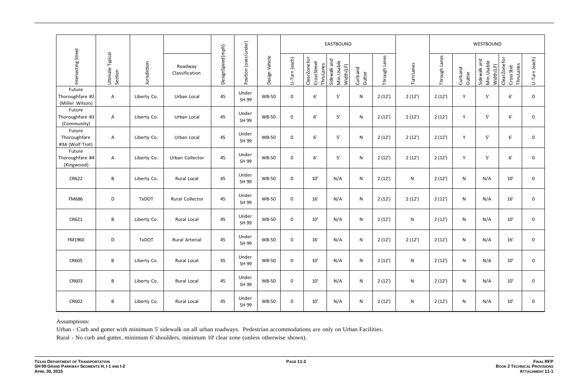|                                              |                             |              |                           |                  |                       |                |                  |                                            | <b>EASTBOUND</b>                         |                   |               |            | WESTBOUND     |                   |                                          |                                          |               |
|----------------------------------------------|-----------------------------|--------------|---------------------------|------------------|-----------------------|----------------|------------------|--------------------------------------------|------------------------------------------|-------------------|---------------|------------|---------------|-------------------|------------------------------------------|------------------------------------------|---------------|
| Intersecting Street                          | Ultimate Typical<br>Section | Jurisdiction | Roadway<br>Classification | DesignSpeed(mph) | Position (over/under) | Design Vehicle | U-Turn (each)    | Clear Zone for<br>CrossStreet<br>ThruLanes | Sidewalk and<br>Min. Usable<br>Width(LF) | Curband<br>Gutter | Through Lanes | Turn Lanes | Through Lanes | Curband<br>Gutter | Sidewalk and<br>Min. Usable<br>Width(LF) | Clear Zone for<br>ThruLanes<br>CrossStet | U-Turn (each) |
| Future<br>Thoroughfare #2<br>(Miller Wilson) | A                           | Liberty Co.  | Urban Local               | 45               | Under<br>SH 99        | <b>WB-50</b>   | $\boldsymbol{0}$ | 6'                                         | $5'$                                     | ${\sf N}$         | 2(12')        | 2(12')     | 2(12')        | Y                 | 5'                                       | 6'                                       | 0             |
| Future<br>Thoroughfare #3<br>(Community)     | A                           | Liberty Co.  | Urban Local               | 45               | Under<br>SH 99        | <b>WB-50</b>   | $\mathbf 0$      | 6'                                         | 5'                                       | ${\sf N}$         | 2(12)         | 2(12')     | 2(12')        | Y                 | $5'$                                     | 6'                                       | 0             |
| Future<br>Thoroughfare<br>#3A (Wolf Trot)    | $\mathsf{A}$                | Liberty Co.  | Urban Local               | 45               | Under<br>SH 99        | <b>WB-50</b>   | $\mathbf 0$      | 6'                                         | 5'                                       | $\mathsf{N}$      | 2(12')        | 2(12')     | 2(12')        | Y                 | 5'                                       | 6'                                       | 0             |
| Future<br>Thoroughfare #4<br>(Kingwood)      | $\mathsf{A}$                | Liberty Co.  | Urban Collector           | 45               | Under<br>SH 99        | <b>WB-50</b>   | $\mathbf 0$      | 6'                                         | $5^{\prime}$                             | ${\sf N}$         | 2(12)         | 2(12')     | 2(12')        | Υ                 | $5'$                                     | $6^{\prime}$                             | 0             |
| CR622                                        | B                           | Liberty Co.  | Rural Local               | 45               | Under<br>SH 99        | <b>WB-50</b>   | $\boldsymbol{0}$ | $10'$                                      | N/A                                      | $\mathsf{N}$      | 2(12)         | ${\sf N}$  | 2(12')        | ${\sf N}$         | N/A                                      | 10'                                      | 0             |
| <b>FM686</b>                                 | D                           | <b>TxDOT</b> | Rural Collector           | 45               | Under<br>SH 99        | <b>WB-50</b>   | $\mathbf 0$      | 16'                                        | N/A                                      | ${\sf N}$         | 2(12)         | 2(12')     | 2(12')        | ${\sf N}$         | N/A                                      | 16'                                      | 0             |
| CR621                                        | B                           | Liberty Co.  | Rural Local               | 45               | Under<br>SH 99        | <b>WB-50</b>   | $\mathbf 0$      | 10'                                        | N/A                                      | $\mathsf{N}$      | 2(12)         | ${\sf N}$  | 2(12')        | ${\sf N}$         | N/A                                      | 10'                                      | 0             |
| <b>FM1960</b>                                | D                           | <b>TxDOT</b> | <b>Rural Arterial</b>     | 45               | Under<br>SH 99        | <b>WB-50</b>   | $\mathbf 0$      | 16'                                        | N/A                                      | ${\sf N}$         | 2(12)         | 2(12')     | 2(12)         | ${\sf N}$         | N/A                                      | 16'                                      | 0             |
| <b>CR605</b>                                 | B                           | Liberty Co.  | Rural Local               | 45               | Under<br>SH 99        | <b>WB-50</b>   | $\mathbf 0$      | 10'                                        | N/A                                      | ${\sf N}$         | 2(12')        | ${\sf N}$  | 2(12')        | $\mathsf{N}$      | N/A                                      | 10'                                      | 0             |
| CR603                                        | B                           | Liberty Co.  | Rural Local               | 45               | Under<br>SH 99        | <b>WB-50</b>   | $\mathbf 0$      | 10'                                        | N/A                                      | ${\sf N}$         | 2(12')        | ${\sf N}$  | 2(12')        | $\mathsf{N}$      | N/A                                      | 10'                                      | 0             |
| CR602                                        | $\, {\bf B} \,$             | Liberty Co.  | Rural Local               | 45               | Under<br>SH 99        | <b>WB-50</b>   | $\mathbf 0$      | 10'                                        | N/A                                      | ${\sf N}$         | 2(12')        | ${\sf N}$  | 2(12')        | ${\sf N}$         | N/A                                      | 10'                                      | 0             |

Assumptions:

Urban - Curb and gutter with minimum 5' sidewalk on all urban roadways. Pedestrian accommodations are only on Urban Facilities.

Rural - No curb and gutter, minimum 6' shoulders, minimum 10' clear zone (unless otherwise shown).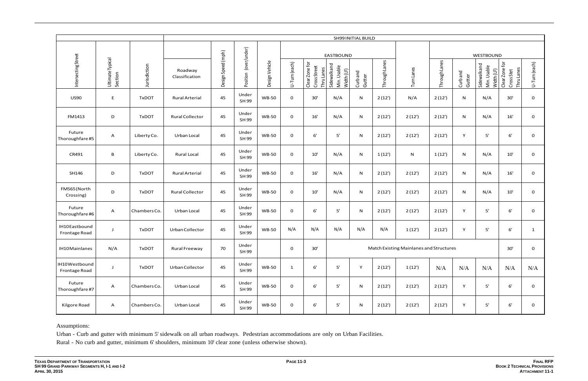|                                |                             |              | SH99 INITIAL BUILD        |                    |                          |                |                     |                                                     |                                          |                   |               |                                         |               |                   |                                             |                                            |               |  |
|--------------------------------|-----------------------------|--------------|---------------------------|--------------------|--------------------------|----------------|---------------------|-----------------------------------------------------|------------------------------------------|-------------------|---------------|-----------------------------------------|---------------|-------------------|---------------------------------------------|--------------------------------------------|---------------|--|
|                                |                             |              |                           |                    |                          |                |                     | EASTBOUND                                           |                                          |                   |               |                                         |               |                   | WESTBOUND                                   |                                            |               |  |
| Intersecting Street            | Ultimate Typical<br>Section | Jurisdiction | Roadway<br>Classification | Design Speed (mph) | (over/under)<br>Position | Design Vehicle | U-Turn (each)       | Clear Zone for<br>Cross Street<br><b>Thru Lanes</b> | Sidewalkand<br>Min. Usable<br>Width (LF) | Curband<br>Gutter | Through Lanes | Turn Lanes                              | Through Lanes | Curband<br>Gutter | Sidewalk and<br>Min. Usable<br>Width $(LF)$ | Clear Zone for<br>Thru Lanes<br>Cross Stet | U-Turn (each) |  |
| <b>US90</b>                    | E                           | <b>TxDOT</b> | <b>Rural Arterial</b>     | 45                 | Under<br>SH 99           | <b>WB-50</b>   | $\mathsf{O}\xspace$ | 30'                                                 | N/A                                      | N                 | 2(12')        | N/A                                     | 2(12)         | N                 | N/A                                         | 30'                                        | $\mathbf 0$   |  |
| FM1413                         | D                           | <b>TxDOT</b> | <b>Rural Collector</b>    | 45                 | Under<br>SH 99           | <b>WB-50</b>   | $\mathsf{O}\xspace$ | 16'                                                 | N/A                                      | ${\sf N}$         | 2(12')        | 2(12)                                   | 2(12)         | N                 | N/A                                         | 16'                                        | 0             |  |
| Future<br>Thoroughfare #5      | A                           | Liberty Co.  | Urban Local               | 45                 | Under<br>SH 99           | <b>WB-50</b>   | $\mathbf 0$         | $6'$                                                | $5'$                                     | ${\sf N}$         | 2(12')        | 2(12)                                   | 2(12)         | Y                 | 5'                                          | $6'$                                       | 0             |  |
| CR491                          | $\, {\bf B} \,$             | Liberty Co.  | <b>Rural Local</b>        | 45                 | Under<br>SH 99           | <b>WB-50</b>   | $\mathbf 0$         | 10'                                                 | N/A                                      | N                 | 1(12')        | ${\sf N}$                               | 1(12)         | ${\sf N}$         | N/A                                         | $10'$                                      | 0             |  |
| SH146                          | D                           | <b>TxDOT</b> | <b>Rural Arterial</b>     | 45                 | Under<br>SH 99           | <b>WB-50</b>   | $\mathbf 0$         | 16'                                                 | N/A                                      | ${\sf N}$         | 2(12')        | 2(12)                                   | 2(12)         | N                 | N/A                                         | $16'$                                      | 0             |  |
| FM565 (North<br>Crossing)      | D                           | <b>TxDOT</b> | <b>Rural Collector</b>    | 45                 | Under<br>SH 99           | <b>WB-50</b>   | $\mathbf 0$         | 10'                                                 | N/A                                      | ${\sf N}$         | 2(12')        | 2(12)                                   | 2(12)         | ${\sf N}$         | N/A                                         | 10'                                        | 0             |  |
| Future<br>Thoroughfare#6       | A                           | Chambers Co. | Urban Local               | 45                 | Under<br>SH 99           | <b>WB-50</b>   | $\mathbf 0$         | 6'                                                  | $5'$                                     | N                 | 2(12')        | 2(12)                                   | 2(12)         | Y                 | 5'                                          | $6'$                                       | 0             |  |
| IH10Eastbound<br>Frontage Road | J                           | <b>TxDOT</b> | Urban Collector           | 45                 | Under<br>SH 99           | <b>WB-50</b>   | N/A                 | N/A                                                 | N/A                                      | N/A               | N/A           | 1(12)                                   | 2(12)         | Y                 | 5'                                          | $6'$                                       | $\mathbf{1}$  |  |
| IH10Mainlanes                  | N/A                         | <b>TxDOT</b> | Rural Freeway             | 70                 | Under<br>SH 99           |                | $\mathbf{0}$        | 30'                                                 |                                          |                   |               | Match Existing Mainlanes and Structures |               |                   |                                             | 30'                                        | $\mathbf{0}$  |  |
| IH10Westbound<br>Frontage Road | J                           | <b>TxDOT</b> | Urban Collector           | 45                 | Under<br>SH 99           | <b>WB-50</b>   | $\mathbf{1}$        | 6'                                                  | $5'$                                     | Y                 | 2(12')        | 1(12)                                   | N/A           | N/A               | N/A                                         | $\rm N/A$                                  | N/A           |  |
| Future<br>Thoroughfare #7      | A                           | Chambers Co. | Urban Local               | 45                 | Under<br>SH 99           | <b>WB-50</b>   | $\mathbf 0$         | 6'                                                  | $5^{\prime}$                             | N                 | 2(12')        | 2(12')                                  | 2(12')        | Y                 | $5'$                                        | $6'$                                       | $\mathbf{O}$  |  |
| Kilgore Road                   | $\mathsf{A}$                | Chambers Co. | Urban Local               | 45                 | Under<br>SH 99           | <b>WB-50</b>   | $\mathbf 0$         | 6'                                                  | $5^{\prime}$                             | ${\sf N}$         | 2(12')        | 2(12')                                  | 2(12')        | Y                 | $5'$                                        | $6'$                                       | 0             |  |

Assumptions:

Urban - Curb and gutter with minimum 5' sidewalk on all urban roadways. Pedestrian accommodations are only on Urban Facilities. Rural - No curb and gutter, minimum 6' shoulders, minimum 10' clear zone (unless otherwise shown).